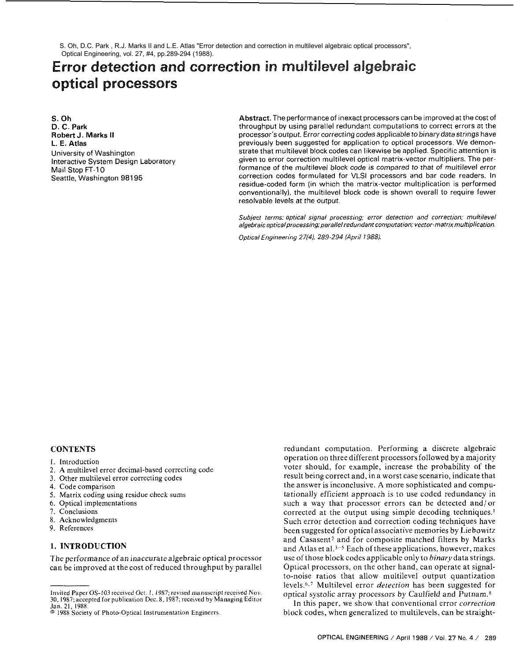S. Oh, D.C. Park , R.J. Marks II and L.E. Atlas "Error detection and correction in multilevel algebraic optical processors", Optical Engineering, vol. 27, #4, pp.289-294 (1988).

# **Error detection and correction in multilevel algebraic optical processors**

**S. Oh D. C. Park Robert J.** Marks **II L. E.** Atlas University of Washington Interactive System Design Laboratory Mail Stop **FT-10**  Seattle, Washington 98195

**Abstract.** The performance of inexact processors can be improved at the cost of throughput by using parallel redundant computations to correct errors at the processor's output. Error correcting codes applicable to binary data strings have previously been suggested for application to optical processors. We demonstrate that multilevel block codes can likewise be applied. Specific attention is given to error correction multilevel optical matrix-vector multipliers. The performance of the multilevel block code is compared to that of multilevel error correction codes formulated for VLSl processors and bar code readers. In residue-coded form (in which the matrix-vector multiplication is performed conventionally), the multilevel block code is shown overall to require fewer resolvable levels at the output.

Subject terms: optical signal processing; error detection **and** correction; muhilevel algebraic optical processing; parallel redundant computation: vector-matrix multiplication.

Optical Engineering 27(4), 289-294 (April 1988).

## **CONTENTS**

- **1.** Introduction
- **2.** A multilevel error decimal-based correcting code
- 3. Other multilevel error correcting codes
- 4. Code comparison
- *5.* Matrix coding using residue check sums
- 6. Optical implementations
- 7. Conclusions
- **8.** Acknowledgments
- 9. References

# **1. INTRODUCTION**

The performance of an inaccurate algebraic optical processor can be improved at thecost of reduced throughput by parallel

Invited Paper OS-103 received Oct. 1, 1987; revised manuscript received Nov. 30, 1987; accepted for publication Dec. 8, 1987; received by Managing Editor Jan. 21, 1988. O 1988 Society of Photo-Optical lnstrurnentation Engineers.

redundant computation. Performing a discrete algebraic operation on three different processors followed by a majority voter should, for example, increase the probability of the result being correct and, in a worst case scenario, indicate that the answer is inconclusive. A more sophisticated and computationally efficient approach is to use coded redundancy in such a way that processor errors can be detected and/or corrected at the output using simple decoding techniques.' Such error detection and correction coding techniques have been suggested for optical associative memories by Liebowitz and Casasent<sup>2</sup> and for composite matched filters by Marks and Atlas et al.3-5 Each of these applications, however, makes use of those block codes applicable only to *binary* data strings. Optical processors, on the other hand, can operate at signalto-noise ratios that allow multilevel output quantization levels.<sup>6,7</sup> Multilevel error *detection* has been suggested for optical systolic array processors by Caulfield and Putnam.<sup>8</sup>

In this paper, we show that conventional error *correction* block codes, when generalized to multilevels, can be straight-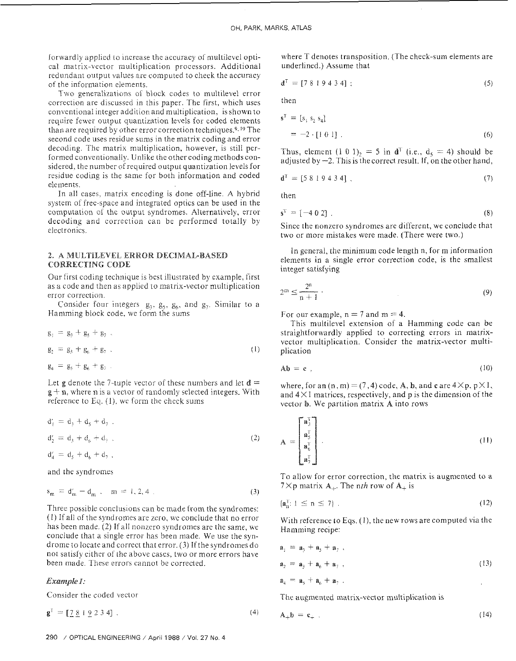forwardly applied to increase the accuracy of multilevel optical matrix-vector multiplication processors. Additional redundant output values are computed to check the accuracy of the information elements.

Two generalizations of block codes to multilevel error correction are discussed in this paper. The first, which uses conventional integer addition and multiplication, is shown to require fewer output quantization levels for coded elements than are required by other error correction techniques.<sup>9, 10</sup> The second code uses residue sums in the matrix coding and error decoding. The matrix multiplication, however, is still performed conventionaily. Unlike the other coding methodsconsidered, the number of required output quantization levels for residue coding is the same for both information and coded elements.

In all cases. matrix encoding is done off-line. A hybrid system of free-space and integrated optics can be used in the computation of the output syndromes. Alternatively, error decoding and correction can be performed totally by electronics.

# 2. A MULTILEVEL ERROR DECIMAL-BASED CORRECTING CODE

Our first coding technique is best illustrated by example, first as a code and then as applied to matrix-vector multiplication error correction.

Consider four integers  $g_3$ ,  $g_5$ ,  $g_6$ , and  $g_7$ . Similar to a Hamming block code, we form the sums

$$
g_1 = g_3 + g_5 + g_7
$$
  
\n
$$
g_2 = g_3 + g_6 + g_7
$$
  
\n
$$
g_4 = g_5 + g_6 + g_7
$$
 (1)

Let **g** denote the 7-tuple vector of these numbers and let  $d=$  $g + n$ , where n is a vector of randomly selected integers. With reference to Eq.  $(1)$ , we form the check sums

$$
d'_{1} = d_{3} + d_{5} + d_{7} .
$$
  
\n
$$
d'_{2} = d_{3} + d_{6} + d_{7} .
$$
  
\n
$$
d'_{4} = d_{5} + d_{6} + d_{7} .
$$
  
\n(2)

and the syndromes

$$
s_m = d'_m - d_m , \quad m = 1, 2, 4 . \tag{3}
$$

Three possible conclusions can be made from the syndromes: (I) If all of ihe syndromes are rcro, we conclude that no error has been made. (2) If all nonzero syndromes are the same, we conclude that a single error has been made. We use the syndrome to locate and correct that error. (3) If the syndromes do not satisfy either of the above cases, two or more errors have been made. These errors cannot be corrected.

## *Example* I:

Consider the coded vector

 $g^T = [7819234]$ .

where T denotes transposition. (The check-sum elements are underlined.) Assume that

$$
\mathbf{d}^{\mathrm{T}} = [7 \ 8 \ 1 \ 9 \ 4 \ 3 \ 4]; \tag{5}
$$

then

$$
\mathbf{s}^{\mathrm{T}} = [s_1 \ s_2 \ s_4] \n= -2 \cdot [1 \ 0 \ 1] .
$$
\n(6)

Thus, element (1 0 1), = 5 in  $d^T$  (i.e.,  $d_5 = 4$ ) should be adjusted by  $-2$ . This is the correct result. If, on the other hand.

$$
\mathbf{d}^{\mathrm{T}} = [5 \ 8 \ 1 \ 9 \ 4 \ 3 \ 4],\tag{7}
$$

then

$$
\mathbf{s}^{\mathrm{T}} = [-4 \ 0 \ 2] \ . \tag{8}
$$

Since the nonzero syndromes are different, we conclude that two or more mistakes were made. (There were two.)

In general, the minimum code length n, for m information elements in a single error correction code, is the smallest integer satisfying

$$
2^m \le \frac{2^n}{n+1} \tag{9}
$$

For our example,  $n = 7$  and  $m = 4$ .

This multilevel extension of a Hamming code can be straightforwardly applied to correcting errors in matrixvector multiplication. Consider the matrix-vector multiplication

$$
Ab = c \t{10}
$$

where, for an  $(n,m)=(7,4)$  code, **A**, **b**, and **c** are  $4\times p$ ,  $p\times 1$ , and  $4 \times 1$  matrices, respectively, and p is the dimension of the vector b. We partition matrix A into rows

$$
\mathbf{A} = \begin{bmatrix} \mathbf{a}_3^{\mathrm{T}} \\ \mathbf{a}_5^{\mathrm{T}} \\ \mathbf{a}_6^{\mathrm{T}} \\ \mathbf{a}_7^{\mathrm{T}} \end{bmatrix} . \tag{11}
$$

1'0 allow for error correction, the matrix is augmented to a 7 $\times$ p matrix A<sub>+</sub>. The nth row of A<sub>+</sub> is

$$
\left\{ \mathbf{a}_{n}^{\mathrm{T}}: 1 \leq n \leq 7 \right\} \tag{12}
$$

With reference to Eqs. (I), the new rows are computed via the Hamming recipe:

$$
a_1 = a_3 + a_5 + a_7,
$$
  
\n
$$
a_2 = a_3 + a_6 + a_7,
$$
  
\n
$$
a_3 = a_5 + a_6 + a_7.
$$
\n(13)

The augmented matrix-vector multiplication is

 $(4)$ 

$$
A_{+}b = c_{+} \tag{14}
$$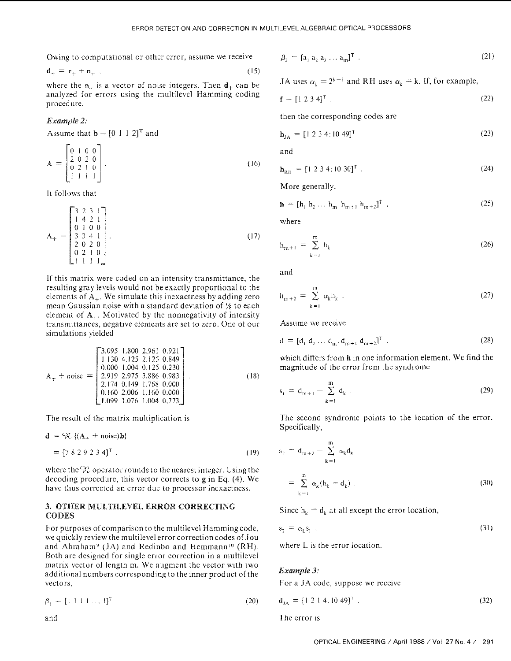$$
\mathbf{d}_{+} = \mathbf{c}_{+} + \mathbf{n}_{+} \tag{15}
$$

where the  $n_{+}$  is a vector of noise integers. Then  $d_{+}$  can be analyzed for errors using the multilevel Hamming coding procedure.

# Example *2:*

Assume that  $\mathbf{b} = [0 \ 1 \ 1 \ 2]^T$  and

$$
\mathbf{A} = \begin{bmatrix} 0 & 1 & 0 & 0 \\ 2 & 0 & 2 & 0 \\ 0 & 2 & 1 & 0 \\ 1 & 1 & 1 & 1 \end{bmatrix} .
$$
 and and  

$$
\mathbf{h}_{\text{RH}}
$$
 (16)

It follows that

$$
\mathbf{A}_{+} = \begin{bmatrix} 3 & 2 & 3 & 1 \\ 1 & 4 & 2 & 1 \\ 0 & 1 & 0 & 0 \\ 3 & 3 & 4 & 1 \\ 2 & 0 & 2 & 0 \\ 0 & 2 & 1 & 0 \\ 1 & 1 & 1 & 1 \end{bmatrix} . \tag{17}
$$

If this matrix were coded on an intensity transmittance, the resulting gray levels would not he exactly proportional to the elements of  $A_{\perp}$ . We simulate this inexactness by adding zero mean Gaussian noise with a standard deviation of  $\frac{1}{8}$  to each element of  $A_+$ . Motivated by the nonnegativity of intensity transmittances. negative elements are set to zero. One of our simulations yielded

$$
\mathbf{A}_{+} + \text{noise} = \begin{bmatrix} 3.095 & 1.800 & 2.961 & 0.921 \\ 1.130 & 4.125 & 2.125 & 0.849 \\ 0.000 & 1.004 & 0.125 & 0.230 \\ 2.919 & 2.975 & 3.886 & 0.983 \\ 2.174 & 0.149 & 1.768 & 0.000 \\ 0.160 & 2.006 & 1.160 & 0.000 \\ 1.099 & 1.076 & 1.004 & 0.773 \end{bmatrix} . \tag{18}
$$

$$
\mathbf{d} = {}^{c}\mathcal{R} \{ (\mathbf{A}_{+} + \text{noise})\mathbf{b} \}
$$
  
= [7 8 2 9 2 3 4]<sup>T</sup> , (19)

where the  $\mathcal R$  operator rounds to the nearest integer. Using the decoding procedure, this vector corrects to gin Eq. (4). We have thus corrected an error due to processor inexactness.

# 3. OTHER MULTILEVEL ERROR CORRECTING CODES

For purposes of comparison to the multilevel Hammingcode, we quickly review the multilevel error correction codes of Jou and Abraham<sup>9</sup> (JA) and Redinbo and Hemmann<sup>10</sup> (RH). Both are designed for single error correction in a multilevel matrix vector of length m. We augment the vector with two additional numbers corresponding to the inner product of the vectors.

$$
\beta_1 = [1 \ 1 \ 1 \ \dots \ 1]^T \tag{20}
$$

Owing to computational or other error, assume we receive  $\beta_2 = [a_1 a_2 a_3 ... a_m]^T$ . (21)

JA uses 
$$
\alpha_k = 2^{k-1}
$$
 and RH uses  $\alpha_k = k$ . If, for example,

$$
\mathbf{f} = [1 \ 2 \ 3 \ 4]^{\mathrm{T}} \tag{22}
$$

then the corresponding codes are

$$
\mathbf{h}_{JA} = [1 \ 2 \ 3 \ 4 \ \vdots \ 10 \ 49]^T \tag{23}
$$

$$
\mathbf{h}_{\text{RH}} = [1 \ 2 \ 3 \ 4 \ \vdots \ 10 \ 30]^{\text{T}} \tag{24}
$$

More generally.

$$
\mathbf{h} = [h_1 \ h_2 \ \dots \ h_m \vdots h_{m+1} \ h_{m+2}]^T \tag{25}
$$

where

$$
h_{m+1} = \sum_{k=1}^{m} h_k
$$
 (26)

and

$$
h_{m+2} = \sum_{k=1}^{m} \alpha_k h_k . \tag{27}
$$

Assume we receive

$$
\mathbf{d} = [d_1 d_2 \dots d_m : d_{m+1} d_{m+2}]^T,
$$
\n(28)

which differs from h in one information element. We find the magnitude of the error from the syndrome

$$
s_{1} = d_{m+1} - \sum_{k=1}^{m} d_{k} . \qquad (29)
$$

The result of the matrix multiplication is The second syndrome points to the location of the error. Specifically,

$$
s_2 = d_{m+2} - \sum_{k=1}^{m} \alpha_k d_k
$$
  
= 
$$
\sum_{k=1}^{m} \alpha_k (h_k - d_k)
$$
 (30)

Since  $h_k = d_k$  at all except the error location,

$$
s_2 = \alpha_1 s_1 \tag{31}
$$

where L is the error location.

## *Example 3:*

For a JA code, suppose we receive

$$
\mathbf{d}_{JA} = [1 \ 2 \ 1 \ 4 \ \vdots \ 10 \ 49]^\mathrm{T} \tag{32}
$$

and The error is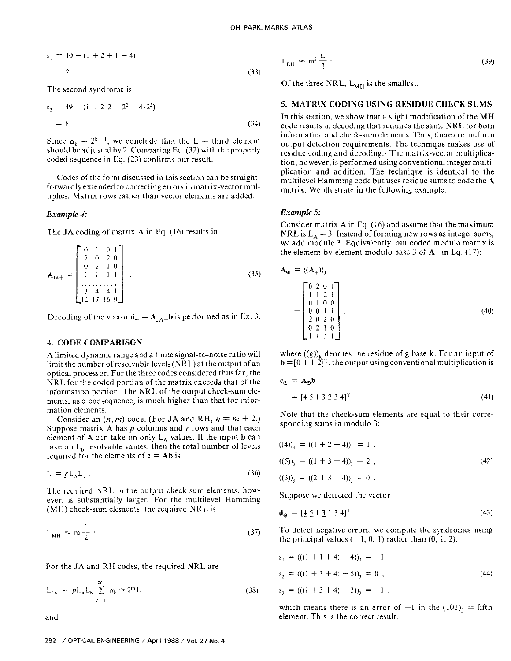$$
s_1 = 10 - (1 + 2 + 1 + 4)
$$
  
= 2. (33)

The second syndrome is

$$
s_2 = 49 - (1 + 2 \cdot 2 + 2^2 + 4 \cdot 2^3)
$$
  
= 8. (34)

Since  $\alpha_k = 2^{k-1}$ , we conclude that the L = third element should be adjusted by 2. Comparing Eq. (32) with the properly coded sequence in Eq. (23) confirms our result.

Codes of the form discussed in this section can be straightforwardly extended to correcting errors in matrix-vector multiplies. Matrix rows rather than vector elements are added.

#### **Example 4:**

The JA coding of matrix  $A$  in Eq. (16) results in

$$
\mathbf{A}_{\mathsf{JA+}} = \begin{bmatrix} 0 & 1 & 0 & 1 \\ 2 & 0 & 2 & 0 \\ 0 & 2 & 1 & 0 \\ 1 & 1 & 1 & 1 \\ \vdots & \vdots & \ddots & \vdots \\ 3 & 4 & 4 & 1 \\ 12 & 17 & 16 & 9 \end{bmatrix} . \tag{35}
$$

Decoding of the vector  $\mathbf{d}_+ = \mathbf{A}_{1\mathbf{A}+} \mathbf{b}$  is performed as in Ex. 3.

# **4. CODE COMPARISON**

A limited dynamic range and a finite signal-to-noise ratio will limit the number of resolvable levels (NRL) at the output of an optical processor. For the three codes considered thus far, the NRL for the coded portion of the matrix exceeds that of the information portion. The NRL of the output check-sum elements, as a consequence, is much higher than that for information elements.

Consider an  $(n, m)$  code. (For JA and RH,  $n = m + 2$ .) Suppose matrix  $A$  has  $p$  columns and  $r$  rows and that each element of A can take on only  $L_A$  values. If the input **b** can take on  $L<sub>b</sub>$  resolvable values, then the total number of levels required for the elements of  $c = Ab$  is

$$
L = p L_A L_b \tag{36}
$$

The required NRL in the output check-sum elements, however, is substantially larger. For the multilevel Hamming (MH) check-sum elements, the required NRL is

$$
L_{MH} \approx m \frac{L}{2} \tag{37}
$$

For the JA and RH codes, the required NRL are

$$
L_{JA} = pL_A L_b \sum_{k=1}^{m} \alpha_k \approx 2^m L
$$
 (38)

and

$$
L_{RH} \approx m^2 \frac{L}{2} \tag{39}
$$

Of the three NRL,  $L_{MH}$  is the smallest.

## 5. MATRIX CODING USING RESIDUE CHECK SUMS

In this section, we show that a slight modification of the MH code results in decoding that requires the same NRL for both information and check-sum elements. Thus, there are uniform output detection requirements. The technique makes use of residue coding and decoding.<sup>1</sup> The matrix-vector multiplication, however, is performed using conventional integer multiplication and addition. The technique is identical to the multilevel Hamming code but uses residue sums to code the A matrix. We illustrate in the following example.

# **Example 5:**

Consider matrix  $A$  in Eq. (16) and assume that the maximum NRL is  $L_A = 3$ . Instead of forming new rows as integer sums, we add modulo 3. Equivalently, our coded modulo matrix is the element-by-element modulo base 3 of  $A_+$  in Eq. (17):

$$
\mathbf{A}_{\oplus} = ((\mathbf{A}_{+}))_{3}
$$
\n
$$
= \begin{bmatrix}\n0 & 2 & 0 & 1 \\
1 & 1 & 2 & 1 \\
0 & 1 & 0 & 0 \\
0 & 0 & 1 & 1 \\
2 & 0 & 2 & 0 \\
0 & 2 & 1 & 0 \\
1 & 1 & 1 & 1\n\end{bmatrix},
$$
\n(40)

where  $((g))_v$  denotes the residue of g base k. For an input of  $\mathbf{b} = [0 \ 1 \ 1 \ 2]^T$ , the output using conventional multiplication is

$$
\mathbf{c}_{\oplus} = \mathbf{A}_{\oplus} \mathbf{b}
$$
  
= 
$$
[\underline{4} \underline{5} \underline{1} \underline{3} \underline{2} \underline{3} \underline{4}]^{\mathrm{T}} .
$$
 (41)

Note that the check-sum elements are equal to their corresponding sums in modulo 3:

$$
((4))_3 = ((1 + 2 + 4))_3 = 1,
$$
  
\n
$$
((5))_3 = ((1 + 3 + 4))_3 = 2,
$$
  
\n
$$
((3))_3 = ((2 + 3 + 4))_3 = 0.
$$
\n(42)

Suppose we detected the vector

$$
\mathbf{d}_{\oplus} = [\underline{4} \ \underline{5} \ 1 \ \underline{3} \ 1 \ 3 \ 4]^{\mathrm{T}} \tag{43}
$$

To detect negative errors, we compute the syndromes using the principal values  $(-1, 0, 1)$  rather than  $(0, 1, 2)$ :

$$
s1 = (((1 + 1 + 4) - 4))3 = -1,
$$
  
\n
$$
s2 = (((1 + 3 + 4) - 5))3 = 0,
$$
  
\n
$$
s3 = (((1 + 3 + 4) - 3))3 = -1,
$$
 (44)

which means there is an error of  $-1$  in the  $(101)<sub>2</sub> =$  fifth element. This is the correct result.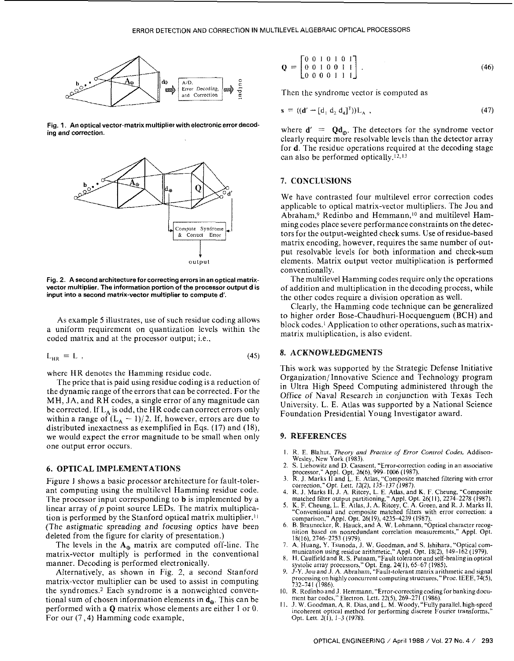

Fig. **1.** An optical vector-matrixmultiplier **withelectronicerrordecod**ing and correction.



Fig. 2. A second architecture for correcting errors in an optical matrixvector multiplier, The information portion of the processor output **d** is input into a second matrix-vector multiplier to compute d'.

As example *5* illustrates, use of such residue coding allows a uniform requirement on quantization levels within the coded matrix and at the processor output; i.e.,

$$
L_{HR} = L \tag{45}
$$

where HR denotes the Hamming residue code.

The price that is paid using residue coding is a reduction of the dynamic range of the errors that can be corrected. For the MH, JA, and RH codes, a single error of any magnitude can be corrected. If  $L_A$  is odd, the HR code can correct errors only within a range of  $(L_A - 1)/2$ . If, however, errors are due to distributed inexactness as exemplified in Eqs. (17) and (IS), we would expect the error magnitude to he small when only one output error occurs.

## **6. OPTICAL IMPLEMENTATIONS**

Figure I shows a hasic processor architecture for fault-tolerant computing using the multilevel Hamming residue code. The processor input corresponding to b is implemented by a linear array of  $p$  point source LEDs. The matrix multiplication is performed by the Stanford optical matrix multiplier. $\mathbf{u}$ (The astigmatic spreading and focusing optics have been deleted from the figure for clarity of presentation.)

The levels in the  $A_{\oplus}$  matrix are computed off-line. The matrix-vector multiply is performed in the conventional manner. Decoding is performed electronically.

Alternatively, as shown in Fig. 2, a second Stanford matrix-vector multiplier can be used to assist in computing the syndromes.2 Each syndrome is a nonweighted conventional sum of chosen information elements in  $d_{\theta}$ . This can be performed with a **Q** matrix whose elements are either 1 or 0. For our **(7,4)** Hamming code example,

$$
\mathbf{Q} = \begin{bmatrix} 0 & 0 & 1 & 0 & 1 & 0 & 1 \\ 0 & 0 & 1 & 0 & 0 & 1 & 1 \\ 0 & 0 & 0 & 0 & 1 & 1 & 1 \end{bmatrix} . \tag{46}
$$

Then the syndrome vector is computed as

$$
s = ((d' - [d_1 d_2 d_4]^T))L_A,
$$
\n(47)

where  $\mathbf{d}' = \mathbf{Q} \mathbf{d}_{\theta}$ . The detectors for the syndrome vector clearly require more resolvable levels than the detector array for d. The residue operations required at the decoding stage can also he performed optically.'2.13

### **7. CONCLUSIONS**

We have contrasted four multilevel error correction codes applicable to optical matrix-vector multipliers. The Jou and Abraham,<sup>9</sup> Redinbo and Hemmann,<sup>10</sup> and multilevel Hamming codes place severe performance constraints on the detectors for the output-weighted check sums. Use of residue-based matrix encoding, however, requires the same number of output resolvable levels for both information and check-sum elements. Matrix output vector multiplication is performed conventionally.

The multilevel Hamming codes require only the operations of addition and multiplication in the decoding process, while the other codes require a division operation as well.

Clearly, the Hamming code technique can he generalized to higher order Bose-Chaudhuri-Hocquenguem (BCH) and block codes.' Application to other operations, suchas matrixmatrix multiplication, is also evident.

# **8. ACKNOWLEDGMENTS**

This work was supported by the Strategic Defense Initiative Organization/ Innovative Science and Technology program in Ultra High Speed Computing administered through the Office of Naval Research in conjunction with Texas Tech University. L. E. Atlas was supported by a National Science Foundation Presidential Young Investigator award.

## **9. REFERENCES**

- I. R. E. Blahut. *Theory and Practice* of Error *Conlrol* Codes, Addison-Wesley, New York (1983).
- 2. S. Liebowitz and D. Casasent, "Error-correction coding in an associative
- processor," Appl. Opt. 26(6), 999-1006 (1987).<br>3. R. J. Marks II and L. E. Atlas. "Composite matched filtering with error correction." Opt. Lett. 12(2), 135-137 (1987).
- 4. R. J. Marks II, J. A. Ritcey, L. E. Atlas, and K. F. Cheung, "<br>matched filter output partitioning," Appl. Opt. 26(11), 2274-2<br>5. K. F. Cheung, L. E. Atlas, J. A. Ritcey, C. A. Green, and R. J , "Composite 2278 (1987).
- J. Marks 11. "Conventional and composite matched filters with error correction: a comparison," Appl. Opt. 26(19), 4235-4239 (1987).
- 6. B. Braunecker, R. Hauck, and A. W. Lohmann, "Optical character recognition based on nonredundant correlation measurements," Appl. Opt. 18(16), 2746-2753 (1979).
- 7. A. Huang, Y. Tsunoda, J. W. Goodman, and S. Ishihara, "Optical com-<br>munication using residue arithmetic." Appl. Opt. 18(2), 149-162 (1979).<br>8. H. Caulfield and R. S. Putnam. "Fault tolerance and self-healing in optical
- H. Caulfield and R. S. Putnam, "Fault tolerance and self-healing in optical vstolic array processors," Opt. Eng. 24(1), 65-67 (1985).
- 9. **J-Y. Jou and J. A. Abraham**, "Fault-tolerant matrix arithmetic and signal processing on highly concurrent computing structures," Proc. IEEE, 74(5),<br>732–741 (1986).
- R. Redinbo and J. Hemmann, "Error-correcting coding for banking documcnt bar codes." Electron. Lett. 22(5), 269~271 (1986). I I. **.I.** W. Goodman, **A.** R. Dias, and L. M. Waody,"Fully parallel. high-speed
- incoherent optical method for performing discrete Fourier transforms, Opt. Lett.  $2(1)$ , I-3 (1978).